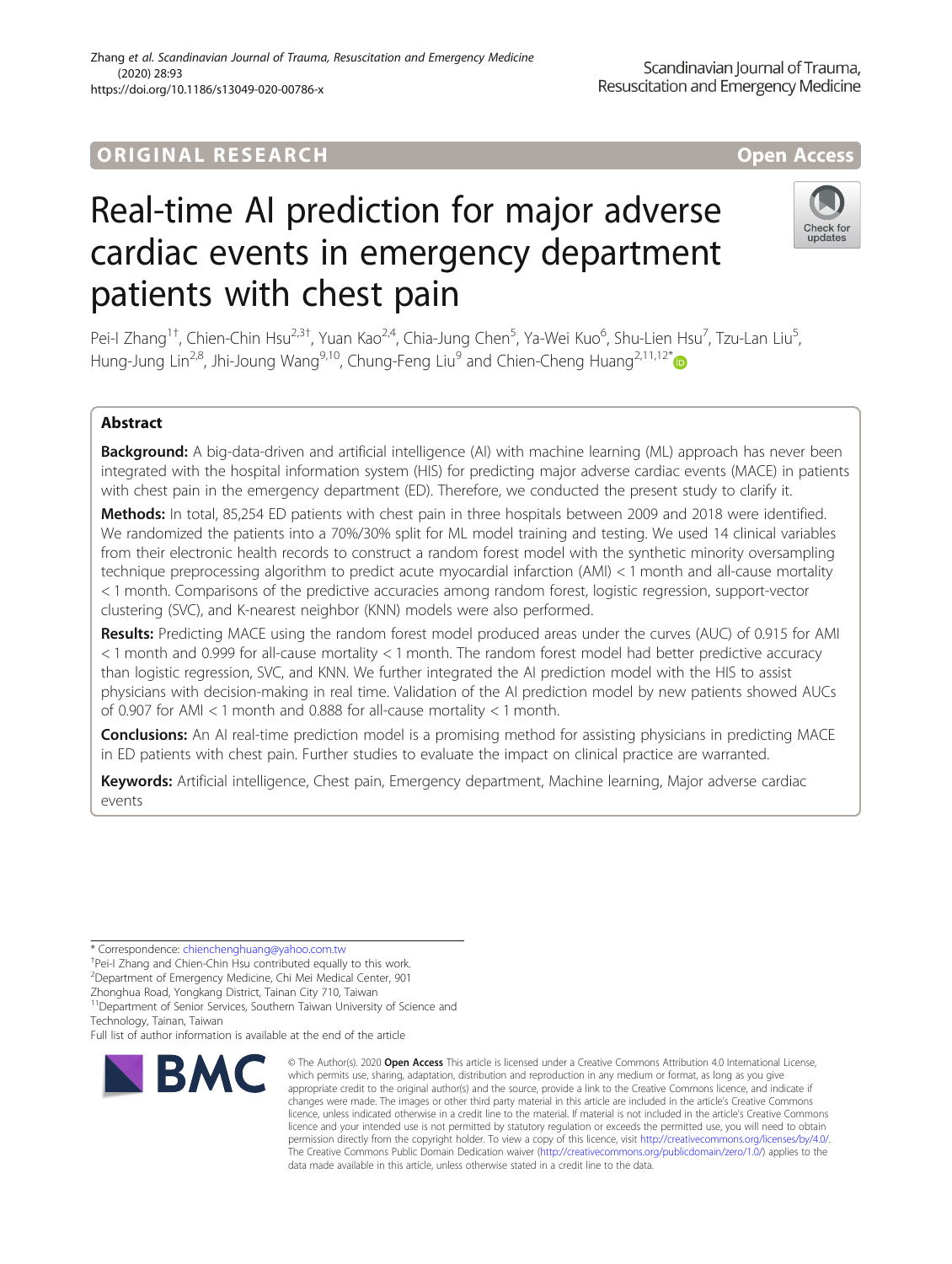# Real-time AI prediction for major adverse cardiac events in emergency department patients with chest pain

Pei-I Zhang<sup>1†</sup>, Chien-Chin Hsu<sup>2,3†</sup>, Yuan Kao<sup>2,4</sup>, Chia-Jung Chen<sup>5</sup>, Ya-Wei Kuo<sup>6</sup>, Shu-Lien Hsu<sup>7</sup>, Tzu-Lan Liu<sup>5</sup> , Hung-Jung Lin<sup>2,8</sup>, Jhi-Joung Wang<sup>9,10</sup>, Chung-Feng Liu<sup>9</sup> and Chien-Cheng Huang<sup>2,11,12[\\*](http://orcid.org/0000-0003-3595-2952)</sup>

# Abstract

Background: A big-data-driven and artificial intelligence (AI) with machine learning (ML) approach has never been integrated with the hospital information system (HIS) for predicting major adverse cardiac events (MACE) in patients with chest pain in the emergency department (ED). Therefore, we conducted the present study to clarify it.

Methods: In total, 85,254 ED patients with chest pain in three hospitals between 2009 and 2018 were identified. We randomized the patients into a 70%/30% split for ML model training and testing. We used 14 clinical variables from their electronic health records to construct a random forest model with the synthetic minority oversampling technique preprocessing algorithm to predict acute myocardial infarction (AMI) < 1 month and all-cause mortality < 1 month. Comparisons of the predictive accuracies among random forest, logistic regression, support-vector clustering (SVC), and K-nearest neighbor (KNN) models were also performed.

Results: Predicting MACE using the random forest model produced areas under the curves (AUC) of 0.915 for AMI < 1 month and 0.999 for all-cause mortality < 1 month. The random forest model had better predictive accuracy than logistic regression, SVC, and KNN. We further integrated the AI prediction model with the HIS to assist physicians with decision-making in real time. Validation of the AI prediction model by new patients showed AUCs of 0.907 for AMI < 1 month and 0.888 for all-cause mortality < 1 month.

**Conclusions:** An AI real-time prediction model is a promising method for assisting physicians in predicting MACE in ED patients with chest pain. Further studies to evaluate the impact on clinical practice are warranted.

Keywords: Artificial intelligence, Chest pain, Emergency department, Machine learning, Major adverse cardiac events

\* Correspondence: [chienchenghuang@yahoo.com.tw](mailto:chienchenghuang@yahoo.com.tw) †

<sup>+</sup>Pei-I Zhang and Chien-Chin Hsu contributed equally to this work.

2 Department of Emergency Medicine, Chi Mei Medical Center, 901

Zhonghua Road, Yongkang District, Tainan City 710, Taiwan

<sup>11</sup>Department of Senior Services, Southern Taiwan University of Science and Technology, Tainan, Taiwan

Full list of author information is available at the end of the article



<sup>©</sup> The Author(s), 2020 **Open Access** This article is licensed under a Creative Commons Attribution 4.0 International License, which permits use, sharing, adaptation, distribution and reproduction in any medium or format, as long as you give appropriate credit to the original author(s) and the source, provide a link to the Creative Commons licence, and indicate if changes were made. The images or other third party material in this article are included in the article's Creative Commons licence, unless indicated otherwise in a credit line to the material. If material is not included in the article's Creative Commons licence and your intended use is not permitted by statutory regulation or exceeds the permitted use, you will need to obtain permission directly from the copyright holder. To view a copy of this licence, visit [http://creativecommons.org/licenses/by/4.0/.](http://creativecommons.org/licenses/by/4.0/) The Creative Commons Public Domain Dedication waiver [\(http://creativecommons.org/publicdomain/zero/1.0/](http://creativecommons.org/publicdomain/zero/1.0/)) applies to the data made available in this article, unless otherwise stated in a credit line to the data.



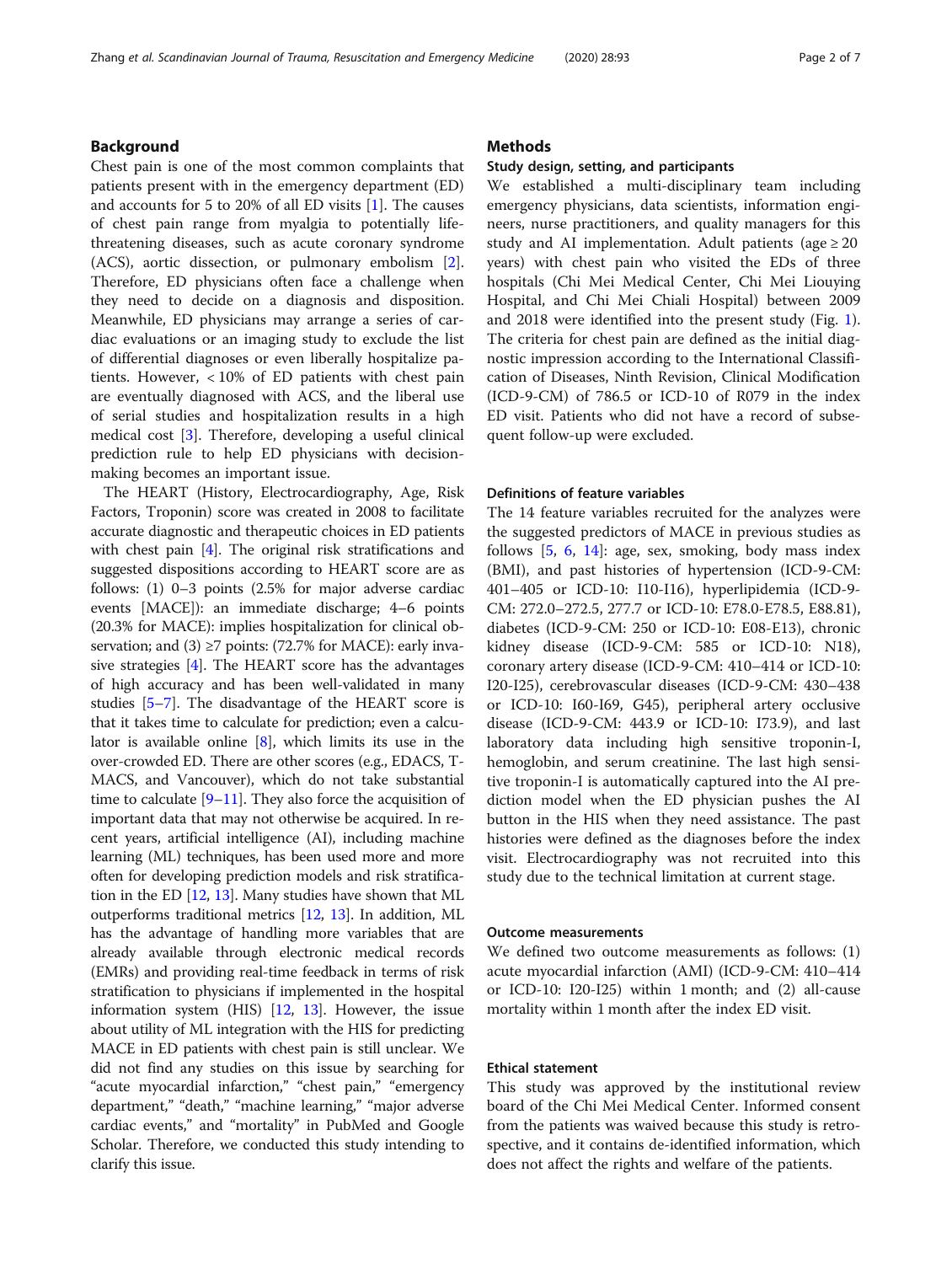# Background

Chest pain is one of the most common complaints that patients present with in the emergency department (ED) and accounts for 5 to 20% of all ED visits [\[1](#page-6-0)]. The causes of chest pain range from myalgia to potentially lifethreatening diseases, such as acute coronary syndrome (ACS), aortic dissection, or pulmonary embolism [\[2](#page-6-0)]. Therefore, ED physicians often face a challenge when they need to decide on a diagnosis and disposition. Meanwhile, ED physicians may arrange a series of cardiac evaluations or an imaging study to exclude the list of differential diagnoses or even liberally hospitalize patients. However, < 10% of ED patients with chest pain are eventually diagnosed with ACS, and the liberal use of serial studies and hospitalization results in a high medical cost [\[3\]](#page-6-0). Therefore, developing a useful clinical prediction rule to help ED physicians with decisionmaking becomes an important issue.

The HEART (History, Electrocardiography, Age, Risk Factors, Troponin) score was created in 2008 to facilitate accurate diagnostic and therapeutic choices in ED patients with chest pain [[4\]](#page-6-0). The original risk stratifications and suggested dispositions according to HEART score are as follows: (1) 0–3 points (2.5% for major adverse cardiac events [MACE]): an immediate discharge; 4–6 points (20.3% for MACE): implies hospitalization for clinical observation; and (3)  $\geq$ 7 points: (72.7% for MACE): early invasive strategies [\[4](#page-6-0)]. The HEART score has the advantages of high accuracy and has been well-validated in many studies [[5](#page-6-0)–[7](#page-6-0)]. The disadvantage of the HEART score is that it takes time to calculate for prediction; even a calculator is available online [[8](#page-6-0)], which limits its use in the over-crowded ED. There are other scores (e.g., EDACS, T-MACS, and Vancouver), which do not take substantial time to calculate  $[9-11]$  $[9-11]$  $[9-11]$  $[9-11]$  $[9-11]$ . They also force the acquisition of important data that may not otherwise be acquired. In recent years, artificial intelligence (AI), including machine learning (ML) techniques, has been used more and more often for developing prediction models and risk stratification in the ED [[12](#page-6-0), [13\]](#page-6-0). Many studies have shown that ML outperforms traditional metrics [\[12,](#page-6-0) [13](#page-6-0)]. In addition, ML has the advantage of handling more variables that are already available through electronic medical records (EMRs) and providing real-time feedback in terms of risk stratification to physicians if implemented in the hospital information system (HIS)  $[12, 13]$  $[12, 13]$  $[12, 13]$  $[12, 13]$ . However, the issue about utility of ML integration with the HIS for predicting MACE in ED patients with chest pain is still unclear. We did not find any studies on this issue by searching for "acute myocardial infarction," "chest pain," "emergency department," "death," "machine learning," "major adverse cardiac events," and "mortality" in PubMed and Google Scholar. Therefore, we conducted this study intending to clarify this issue.

# **Methods**

## Study design, setting, and participants

We established a multi-disciplinary team including emergency physicians, data scientists, information engineers, nurse practitioners, and quality managers for this study and AI implementation. Adult patients (age  $\geq 20$ years) with chest pain who visited the EDs of three hospitals (Chi Mei Medical Center, Chi Mei Liouying Hospital, and Chi Mei Chiali Hospital) between 2009 and 2018 were identified into the present study (Fig. [1](#page-2-0)). The criteria for chest pain are defined as the initial diagnostic impression according to the International Classification of Diseases, Ninth Revision, Clinical Modification (ICD-9-CM) of 786.5 or ICD-10 of R079 in the index ED visit. Patients who did not have a record of subsequent follow-up were excluded.

## Definitions of feature variables

The 14 feature variables recruited for the analyzes were the suggested predictors of MACE in previous studies as follows [\[5](#page-6-0), [6](#page-6-0), [14\]](#page-6-0): age, sex, smoking, body mass index (BMI), and past histories of hypertension (ICD-9-CM: 401–405 or ICD-10: I10-I16), hyperlipidemia (ICD-9- CM: 272.0–272.5, 277.7 or ICD-10: E78.0-E78.5, E88.81), diabetes (ICD-9-CM: 250 or ICD-10: E08-E13), chronic kidney disease (ICD-9-CM: 585 or ICD-10: N18), coronary artery disease (ICD-9-CM: 410–414 or ICD-10: I20-I25), cerebrovascular diseases (ICD-9-CM: 430–438 or ICD-10: I60-I69, G45), peripheral artery occlusive disease (ICD-9-CM: 443.9 or ICD-10: I73.9), and last laboratory data including high sensitive troponin-I, hemoglobin, and serum creatinine. The last high sensitive troponin-I is automatically captured into the AI prediction model when the ED physician pushes the AI button in the HIS when they need assistance. The past histories were defined as the diagnoses before the index visit. Electrocardiography was not recruited into this study due to the technical limitation at current stage.

## Outcome measurements

We defined two outcome measurements as follows: (1) acute myocardial infarction (AMI) (ICD-9-CM: 410–414 or ICD-10: I20-I25) within 1 month; and (2) all-cause mortality within 1 month after the index ED visit.

## Ethical statement

This study was approved by the institutional review board of the Chi Mei Medical Center. Informed consent from the patients was waived because this study is retrospective, and it contains de-identified information, which does not affect the rights and welfare of the patients.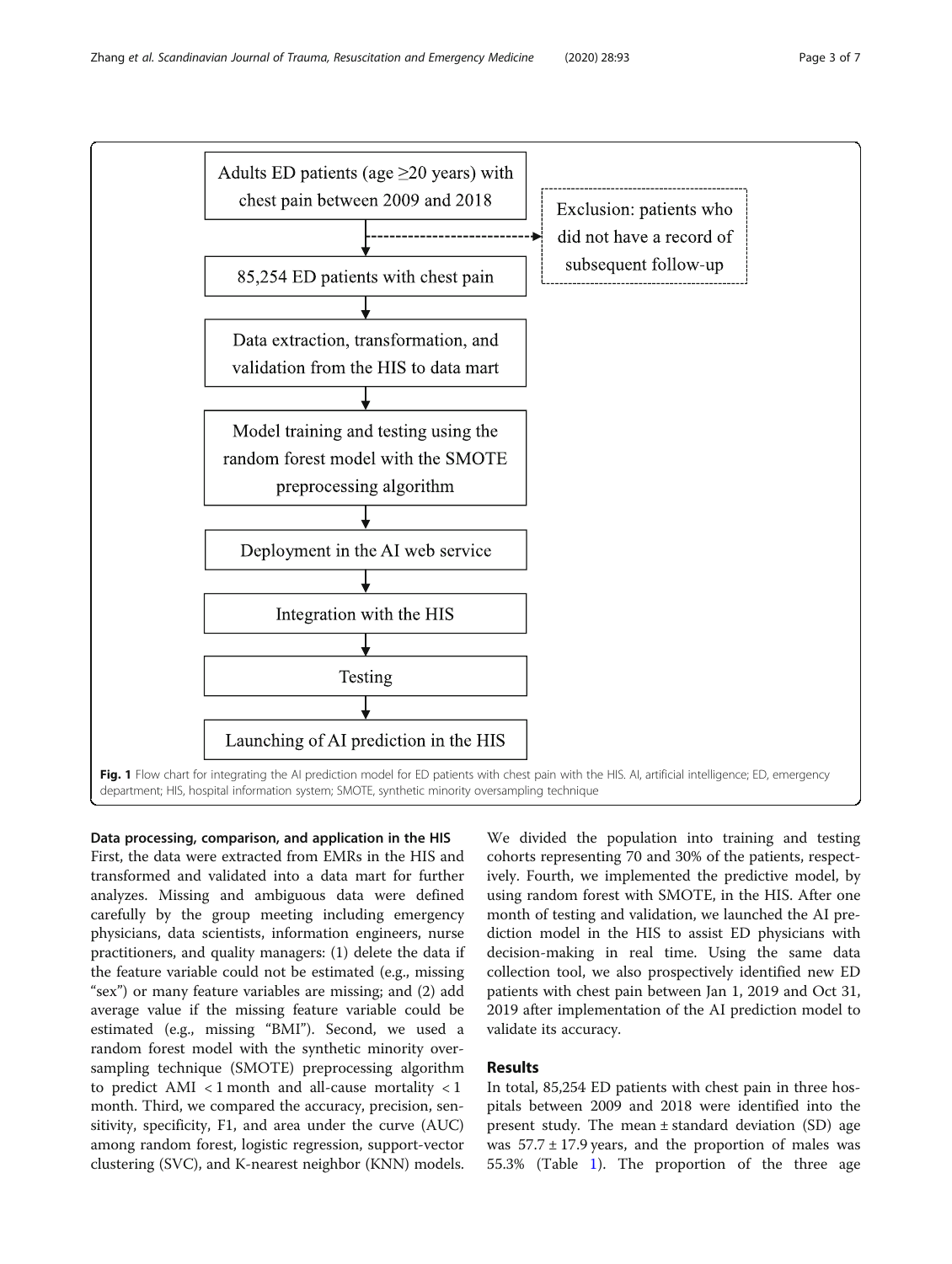<span id="page-2-0"></span>

Data processing, comparison, and application in the HIS First, the data were extracted from EMRs in the HIS and transformed and validated into a data mart for further analyzes. Missing and ambiguous data were defined carefully by the group meeting including emergency physicians, data scientists, information engineers, nurse practitioners, and quality managers: (1) delete the data if the feature variable could not be estimated (e.g., missing "sex") or many feature variables are missing; and (2) add average value if the missing feature variable could be estimated (e.g., missing "BMI"). Second, we used a random forest model with the synthetic minority oversampling technique (SMOTE) preprocessing algorithm to predict AMI < 1 month and all-cause mortality < 1 month. Third, we compared the accuracy, precision, sensitivity, specificity, F1, and area under the curve (AUC) among random forest, logistic regression, support-vector clustering (SVC), and K-nearest neighbor (KNN) models.

We divided the population into training and testing cohorts representing 70 and 30% of the patients, respectively. Fourth, we implemented the predictive model, by using random forest with SMOTE, in the HIS. After one month of testing and validation, we launched the AI prediction model in the HIS to assist ED physicians with decision-making in real time. Using the same data collection tool, we also prospectively identified new ED patients with chest pain between Jan 1, 2019 and Oct 31, 2019 after implementation of the AI prediction model to validate its accuracy.

# Results

In total, 85,254 ED patients with chest pain in three hospitals between 2009 and 2018 were identified into the present study. The mean ± standard deviation (SD) age was  $57.7 \pm 17.9$  years, and the proportion of males was 55.3% (Table [1](#page-3-0)). The proportion of the three age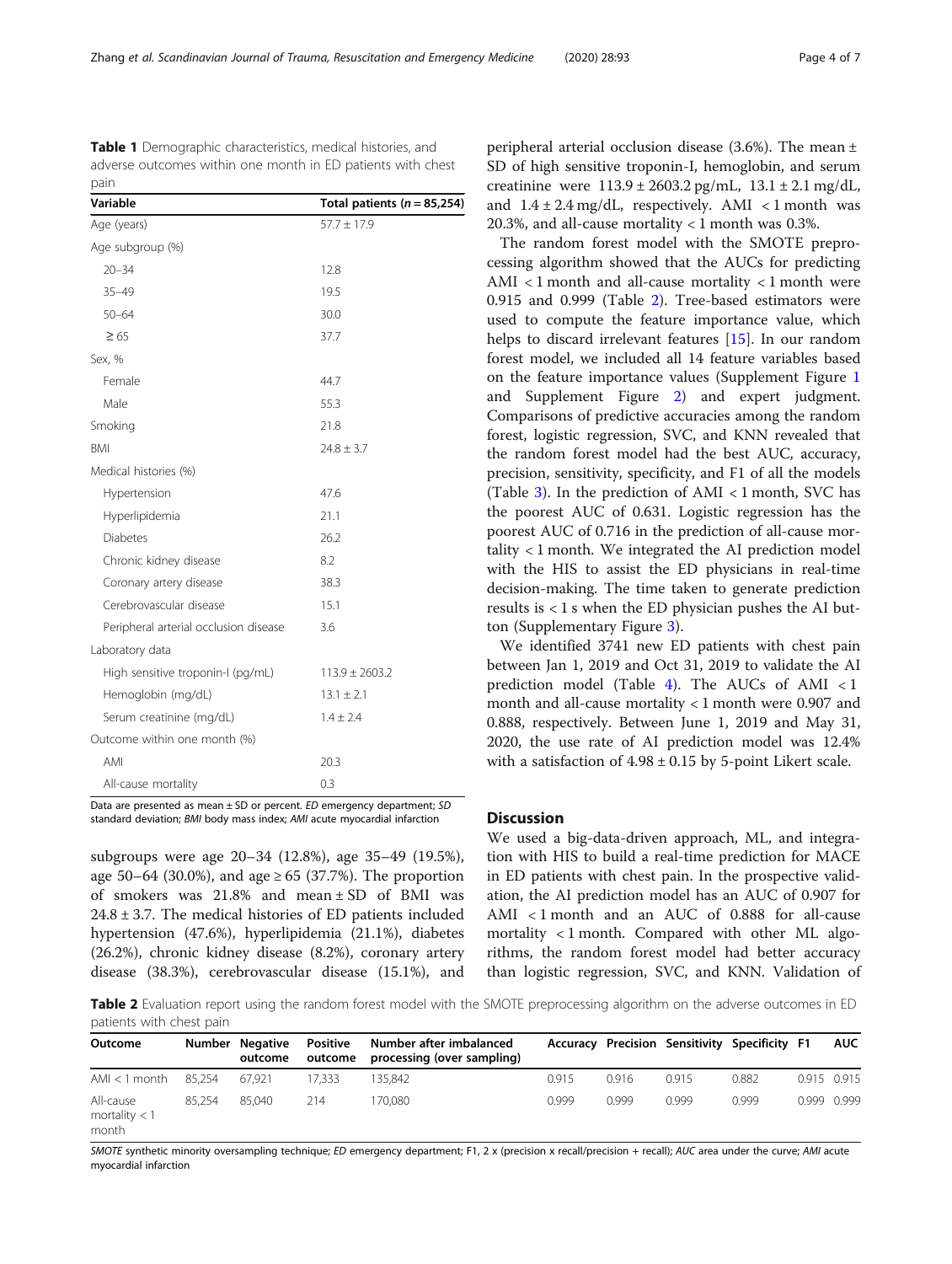<span id="page-3-0"></span>Table 1 Demographic characteristics, medical histories, and adverse outcomes within one month in ED patients with chest pain

| Variable                              | Total patients ( $n = 85,254$ ) |
|---------------------------------------|---------------------------------|
| Age (years)                           | $57.7 \pm 17.9$                 |
| Age subgroup (%)                      |                                 |
| $20 - 34$                             | 12.8                            |
| $35 - 49$                             | 19.5                            |
| $50 - 64$                             | 30.0                            |
| $\geq 65$                             | 37.7                            |
| Sex, %                                |                                 |
| Female                                | 44.7                            |
| Male                                  | 55.3                            |
| Smoking                               | 21.8                            |
| <b>BMI</b>                            | $24.8 \pm 3.7$                  |
| Medical histories (%)                 |                                 |
| Hypertension                          | 47.6                            |
| Hyperlipidemia                        | 21.1                            |
| <b>Diabetes</b>                       | 26.2                            |
| Chronic kidney disease                | 8.2                             |
| Coronary artery disease               | 38.3                            |
| Cerebrovascular disease               | 15.1                            |
| Peripheral arterial occlusion disease | 3.6                             |
| Laboratory data                       |                                 |
| High sensitive troponin-I (pg/mL)     | $113.9 \pm 2603.2$              |
| Hemoglobin (mg/dL)                    | $13.1 \pm 2.1$                  |
| Serum creatinine (mg/dL)              | $1.4 \pm 2.4$                   |
| Outcome within one month (%)          |                                 |
| AMI                                   | 20.3                            |
| All-cause mortality                   | 0.3                             |

Data are presented as mean ± SD or percent. ED emergency department; SD standard deviation; BMI body mass index; AMI acute myocardial infarction

subgroups were age 20–34 (12.8%), age 35–49 (19.5%), age 50–64 (30.0%), and age  $\geq$  65 (37.7%). The proportion of smokers was 21.8% and mean ± SD of BMI was  $24.8 \pm 3.7$ . The medical histories of ED patients included hypertension (47.6%), hyperlipidemia (21.1%), diabetes (26.2%), chronic kidney disease (8.2%), coronary artery disease (38.3%), cerebrovascular disease (15.1%), and peripheral arterial occlusion disease (3.6%). The mean ± SD of high sensitive troponin-I, hemoglobin, and serum creatinine were  $113.9 \pm 2603.2$  pg/mL,  $13.1 \pm 2.1$  mg/dL, and  $1.4 \pm 2.4$  mg/dL, respectively. AMI < 1 month was 20.3%, and all-cause mortality  $<$  1 month was 0.3%.

The random forest model with the SMOTE preprocessing algorithm showed that the AUCs for predicting AMI < 1 month and all-cause mortality < 1 month were 0.915 and 0.999 (Table 2). Tree-based estimators were used to compute the feature importance value, which helps to discard irrelevant features [[15\]](#page-6-0). In our random forest model, we included all 14 feature variables based on the feature importance values (Supplement Figure [1](#page-5-0) and Supplement Figure [2\)](#page-5-0) and expert judgment. Comparisons of predictive accuracies among the random forest, logistic regression, SVC, and KNN revealed that the random forest model had the best AUC, accuracy, precision, sensitivity, specificity, and F1 of all the models (Table [3](#page-4-0)). In the prediction of AMI  $\lt$  1 month, SVC has the poorest AUC of 0.631. Logistic regression has the poorest AUC of 0.716 in the prediction of all-cause mortality < 1 month. We integrated the AI prediction model with the HIS to assist the ED physicians in real-time decision-making. The time taken to generate prediction results is  $< 1$  s when the ED physician pushes the AI button (Supplementary Figure [3](#page-5-0)).

We identified 3741 new ED patients with chest pain between Jan 1, 2019 and Oct 31, 2019 to validate the AI prediction model (Table [4](#page-4-0)). The AUCs of AMI < 1 month and all-cause mortality < 1 month were 0.907 and 0.888, respectively. Between June 1, 2019 and May 31, 2020, the use rate of AI prediction model was 12.4% with a satisfaction of  $4.98 \pm 0.15$  by 5-point Likert scale.

# **Discussion**

We used a big-data-driven approach, ML, and integration with HIS to build a real-time prediction for MACE in ED patients with chest pain. In the prospective validation, the AI prediction model has an AUC of 0.907 for AMI < 1 month and an AUC of 0.888 for all-cause mortality < 1 month. Compared with other ML algorithms, the random forest model had better accuracy than logistic regression, SVC, and KNN. Validation of

Table 2 Evaluation report using the random forest model with the SMOTE preprocessing algorithm on the adverse outcomes in ED patients with chest pain

| Outcome                               |        | Number Negative Positive<br>outcome | outcome | Number after imbalanced<br>processing (over sampling) |       |       | Accuracy Precision Sensitivity Specificity F1 |       |             | <b>AUC</b> |
|---------------------------------------|--------|-------------------------------------|---------|-------------------------------------------------------|-------|-------|-----------------------------------------------|-------|-------------|------------|
| $AM < 1$ month                        | 85.254 | 67.921                              | 17.333  | 135.842                                               | 0.915 | 0.916 | 0.915                                         | 0.882 | 0.915 0.915 |            |
| All-cause<br>mortality $<$ 1<br>month | 85.254 | 85.040                              | 214     | 170.080                                               | 0.999 | 0.999 | 0.999                                         | 0.999 | 0.999 0.999 |            |

SMOTE synthetic minority oversampling technique; ED emergency department; F1, 2 x (precision x recall); PHC area under the curve; AMI acute myocardial infarction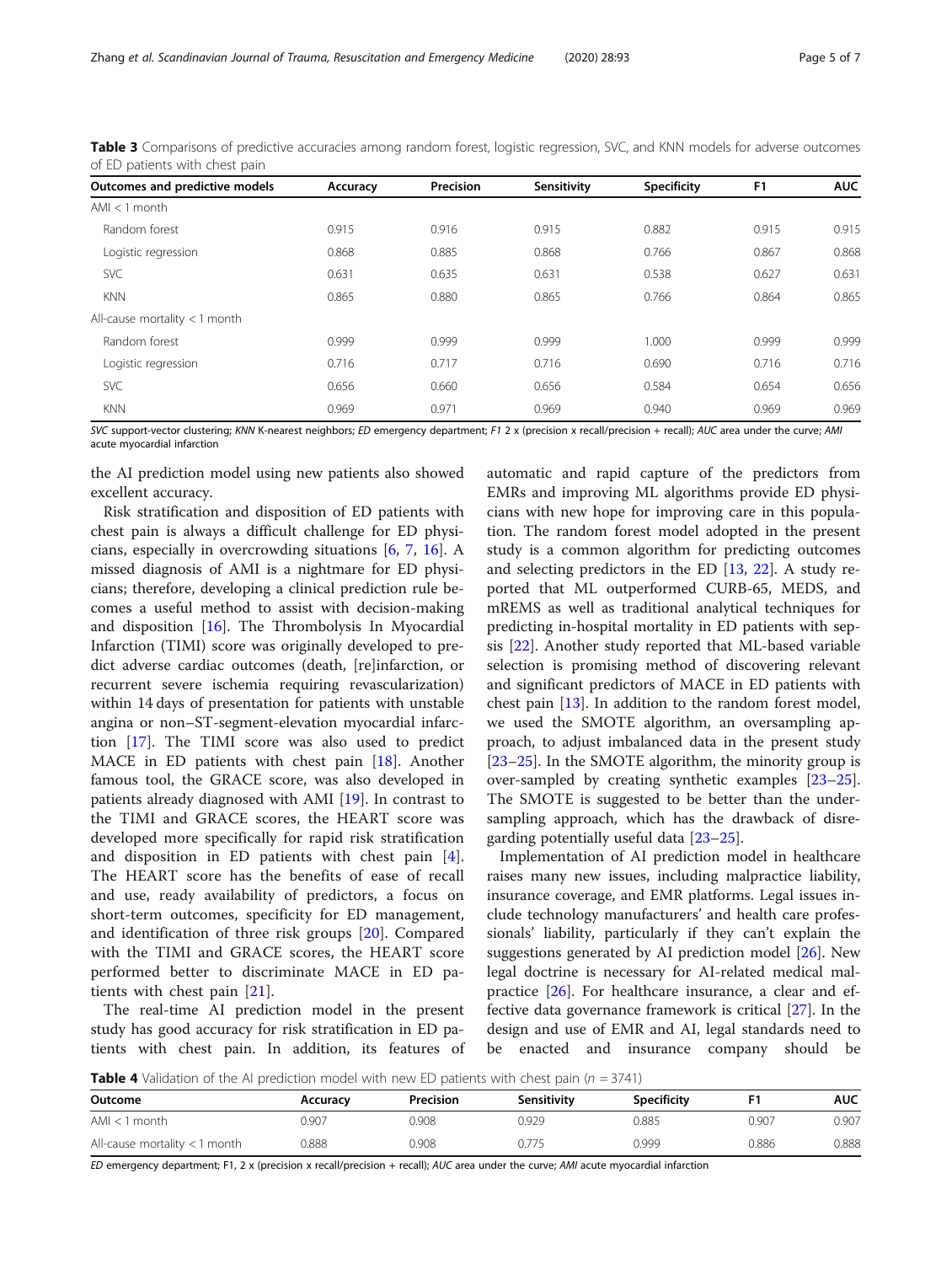| Outcomes and predictive models  | Accuracy | Precision | Sensitivity | <b>Specificity</b> | F <sub>1</sub> | <b>AUC</b> |
|---------------------------------|----------|-----------|-------------|--------------------|----------------|------------|
| $AMI < 1$ month                 |          |           |             |                    |                |            |
| Random forest                   | 0.915    | 0.916     | 0.915       | 0.882              | 0.915          | 0.915      |
| Logistic regression             | 0.868    | 0.885     | 0.868       | 0.766              | 0.867          | 0.868      |
| <b>SVC</b>                      | 0.631    | 0.635     | 0.631       | 0.538              | 0.627          | 0.631      |
| <b>KNN</b>                      | 0.865    | 0.880     | 0.865       | 0.766              | 0.864          | 0.865      |
| All-cause mortality $<$ 1 month |          |           |             |                    |                |            |
| Random forest                   | 0.999    | 0.999     | 0.999       | 1.000              | 0.999          | 0.999      |
| Logistic regression             | 0.716    | 0.717     | 0.716       | 0.690              | 0.716          | 0.716      |
| <b>SVC</b>                      | 0.656    | 0.660     | 0.656       | 0.584              | 0.654          | 0.656      |
| <b>KNN</b>                      | 0.969    | 0.971     | 0.969       | 0.940              | 0.969          | 0.969      |

<span id="page-4-0"></span>Table 3 Comparisons of predictive accuracies among random forest, logistic regression, SVC, and KNN models for adverse outcomes of ED patients with chest pain

SVC support-vector clustering; KNN K-nearest neighbors; ED emergency department; F1 2 x (precision x recall/precision + recall); AUC area under the curve; AMI acute myocardial infarction

the AI prediction model using new patients also showed excellent accuracy.

Risk stratification and disposition of ED patients with chest pain is always a difficult challenge for ED physicians, especially in overcrowding situations [[6,](#page-6-0) [7,](#page-6-0) [16\]](#page-6-0). A missed diagnosis of AMI is a nightmare for ED physicians; therefore, developing a clinical prediction rule becomes a useful method to assist with decision-making and disposition [\[16\]](#page-6-0). The Thrombolysis In Myocardial Infarction (TIMI) score was originally developed to predict adverse cardiac outcomes (death, [re]infarction, or recurrent severe ischemia requiring revascularization) within 14 days of presentation for patients with unstable angina or non–ST-segment-elevation myocardial infarction [\[17\]](#page-6-0). The TIMI score was also used to predict MACE in ED patients with chest pain [[18\]](#page-6-0). Another famous tool, the GRACE score, was also developed in patients already diagnosed with AMI [\[19](#page-6-0)]. In contrast to the TIMI and GRACE scores, the HEART score was developed more specifically for rapid risk stratification and disposition in ED patients with chest pain [\[4](#page-6-0)]. The HEART score has the benefits of ease of recall and use, ready availability of predictors, a focus on short-term outcomes, specificity for ED management, and identification of three risk groups [[20\]](#page-6-0). Compared with the TIMI and GRACE scores, the HEART score performed better to discriminate MACE in ED patients with chest pain [\[21](#page-6-0)].

The real-time AI prediction model in the present study has good accuracy for risk stratification in ED patients with chest pain. In addition, its features of automatic and rapid capture of the predictors from EMRs and improving ML algorithms provide ED physicians with new hope for improving care in this population. The random forest model adopted in the present study is a common algorithm for predicting outcomes and selecting predictors in the ED [[13,](#page-6-0) [22](#page-6-0)]. A study reported that ML outperformed CURB-65, MEDS, and mREMS as well as traditional analytical techniques for predicting in-hospital mortality in ED patients with sepsis [[22\]](#page-6-0). Another study reported that ML-based variable selection is promising method of discovering relevant and significant predictors of MACE in ED patients with chest pain [\[13](#page-6-0)]. In addition to the random forest model, we used the SMOTE algorithm, an oversampling approach, to adjust imbalanced data in the present study [[23](#page-6-0)–[25](#page-6-0)]. In the SMOTE algorithm, the minority group is over-sampled by creating synthetic examples [[23](#page-6-0)–[25](#page-6-0)]. The SMOTE is suggested to be better than the undersampling approach, which has the drawback of disregarding potentially useful data [[23](#page-6-0)–[25](#page-6-0)].

Implementation of AI prediction model in healthcare raises many new issues, including malpractice liability, insurance coverage, and EMR platforms. Legal issues include technology manufacturers' and health care professionals' liability, particularly if they can't explain the suggestions generated by AI prediction model [\[26](#page-6-0)]. New legal doctrine is necessary for AI-related medical malpractice [[26](#page-6-0)]. For healthcare insurance, a clear and effective data governance framework is critical [\[27](#page-6-0)]. In the design and use of EMR and AI, legal standards need to be enacted and insurance company should be

**Table 4** Validation of the AI prediction model with new ED patients with chest pain ( $n = 3741$ )

| Outcome                         | Accuracy | Precision | Sensitivity | Specificity |       | <b>AUC</b> |
|---------------------------------|----------|-----------|-------------|-------------|-------|------------|
| $AMI < 1$ month                 | 0.907    | 0.908     | 0.929       | 0.885       | 0.907 | 0.907      |
| All-cause mortality $<$ 1 month | 0.888    | 0.908     | 0.775       | 0.999       | 0.886 | 0.888      |

ED emergency department; F1, 2 x (precision x recall/precision + recall); AUC area under the curve; AMI acute myocardial infarction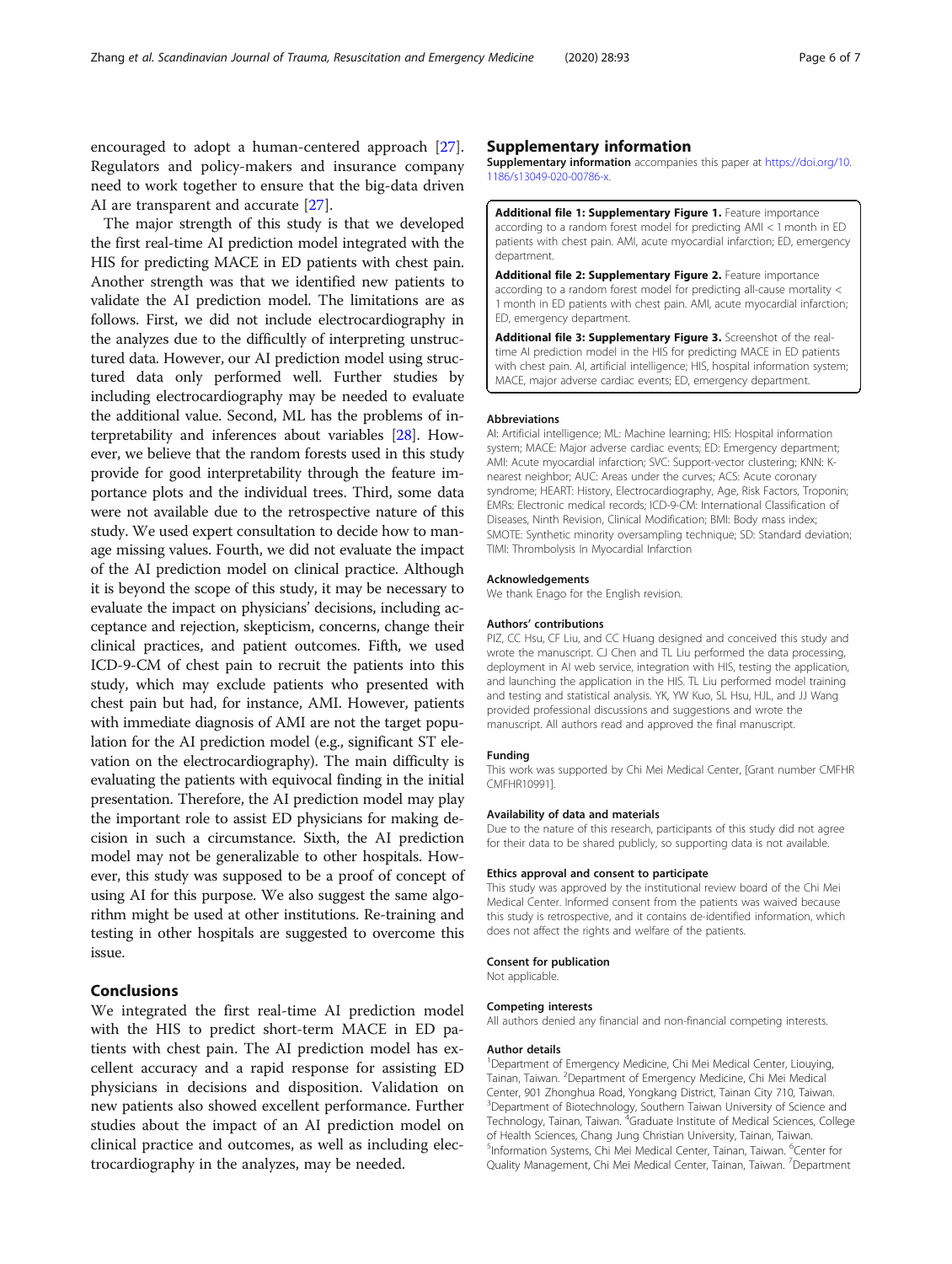<span id="page-5-0"></span>encouraged to adopt a human-centered approach [\[27](#page-6-0)]. Regulators and policy-makers and insurance company need to work together to ensure that the big-data driven AI are transparent and accurate [\[27](#page-6-0)].

The major strength of this study is that we developed the first real-time AI prediction model integrated with the HIS for predicting MACE in ED patients with chest pain. Another strength was that we identified new patients to validate the AI prediction model. The limitations are as follows. First, we did not include electrocardiography in the analyzes due to the difficultly of interpreting unstructured data. However, our AI prediction model using structured data only performed well. Further studies by including electrocardiography may be needed to evaluate the additional value. Second, ML has the problems of interpretability and inferences about variables [\[28\]](#page-6-0). However, we believe that the random forests used in this study provide for good interpretability through the feature importance plots and the individual trees. Third, some data were not available due to the retrospective nature of this study. We used expert consultation to decide how to manage missing values. Fourth, we did not evaluate the impact of the AI prediction model on clinical practice. Although it is beyond the scope of this study, it may be necessary to evaluate the impact on physicians' decisions, including acceptance and rejection, skepticism, concerns, change their clinical practices, and patient outcomes. Fifth, we used ICD-9-CM of chest pain to recruit the patients into this study, which may exclude patients who presented with chest pain but had, for instance, AMI. However, patients with immediate diagnosis of AMI are not the target population for the AI prediction model (e.g., significant ST elevation on the electrocardiography). The main difficulty is evaluating the patients with equivocal finding in the initial presentation. Therefore, the AI prediction model may play the important role to assist ED physicians for making decision in such a circumstance. Sixth, the AI prediction model may not be generalizable to other hospitals. However, this study was supposed to be a proof of concept of using AI for this purpose. We also suggest the same algorithm might be used at other institutions. Re-training and testing in other hospitals are suggested to overcome this issue.

# Conclusions

We integrated the first real-time AI prediction model with the HIS to predict short-term MACE in ED patients with chest pain. The AI prediction model has excellent accuracy and a rapid response for assisting ED physicians in decisions and disposition. Validation on new patients also showed excellent performance. Further studies about the impact of an AI prediction model on clinical practice and outcomes, as well as including electrocardiography in the analyzes, may be needed.

## Supplementary information

Supplementary information accompanies this paper at [https://doi.org/10.](https://doi.org/10.1186/s13049-020-00786-x) [1186/s13049-020-00786-x.](https://doi.org/10.1186/s13049-020-00786-x)

Additional file 1: Supplementary Figure 1. Feature importance according to a random forest model for predicting AMI < 1 month in ED patients with chest pain. AMI, acute myocardial infarction; ED, emergency department.

Additional file 2: Supplementary Figure 2. Feature importance according to a random forest model for predicting all-cause mortality < 1 month in ED patients with chest pain. AMI, acute myocardial infarction; ED, emergency department.

Additional file 3: Supplementary Figure 3. Screenshot of the realtime AI prediction model in the HIS for predicting MACE in ED patients with chest pain. AI, artificial intelligence; HIS, hospital information system; MACE, major adverse cardiac events; ED, emergency department.

#### Abbreviations

AI: Artificial intelligence; ML: Machine learning; HIS: Hospital information system; MACE: Major adverse cardiac events; ED: Emergency department; AMI: Acute myocardial infarction; SVC: Support-vector clustering; KNN: Knearest neighbor; AUC: Areas under the curves; ACS: Acute coronary syndrome; HEART: History, Electrocardiography, Age, Risk Factors, Troponin; EMRs: Electronic medical records; ICD-9-CM: International Classification of Diseases, Ninth Revision, Clinical Modification; BMI: Body mass index; SMOTE: Synthetic minority oversampling technique; SD: Standard deviation; TIMI: Thrombolysis In Myocardial Infarction

### Acknowledgements

We thank Enago for the English revision.

## Authors' contributions

PIZ, CC Hsu, CF Liu, and CC Huang designed and conceived this study and wrote the manuscript. CJ Chen and TL Liu performed the data processing, deployment in AI web service, integration with HIS, testing the application, and launching the application in the HIS. TL Liu performed model training and testing and statistical analysis. YK, YW Kuo, SL Hsu, HJL, and JJ Wang provided professional discussions and suggestions and wrote the manuscript. All authors read and approved the final manuscript.

#### Funding

This work was supported by Chi Mei Medical Center, [Grant number CMFHR CMFHR10991].

#### Availability of data and materials

Due to the nature of this research, participants of this study did not agree for their data to be shared publicly, so supporting data is not available.

#### Ethics approval and consent to participate

This study was approved by the institutional review board of the Chi Mei Medical Center. Informed consent from the patients was waived because this study is retrospective, and it contains de-identified information, which does not affect the rights and welfare of the patients.

#### Consent for publication

Not applicable.

#### Competing interests

All authors denied any financial and non-financial competing interests.

#### Author details

<sup>1</sup>Department of Emergency Medicine, Chi Mei Medical Center, Liouying, Tainan, Taiwan. <sup>2</sup>Department of Emergency Medicine, Chi Mei Medical Center, 901 Zhonghua Road, Yongkang District, Tainan City 710, Taiwan. <sup>3</sup>Department of Biotechnology, Southern Taiwan University of Science and Technology, Tainan, Taiwan. <sup>4</sup>Graduate Institute of Medical Sciences, College of Health Sciences, Chang Jung Christian University, Tainan, Taiwan. <sup>5</sup>Information Systems, Chi Mei Medical Center, Tainan, Taiwan. <sup>6</sup>Center for Quality Management, Chi Mei Medical Center, Tainan, Taiwan. <sup>7</sup>Department